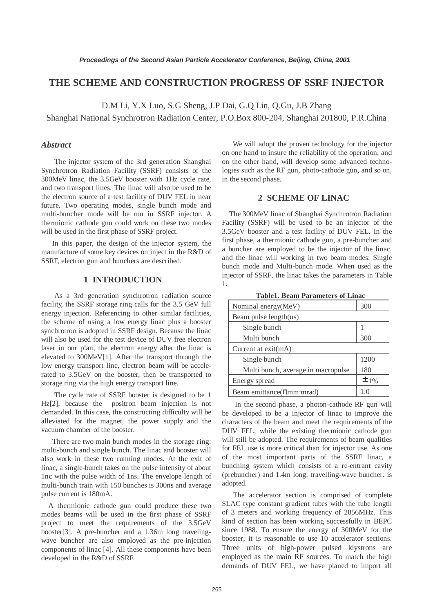# **THE SCHEME AND CONSTRUCTION PROGRESS OF SSRF INJECTOR**

D.M Li, Y.X Luo, S.G Sheng, J.P Dai, G.Q Lin, Q.Gu, J.B Zhang

Shanghai National Synchrotron Radiation Center, P.O.Box 800-204, Shanghai 201800, P.R.China

### *Abstract*

The injector system of the 3rd generation Shanghai Synchrotron Radiation Facility (SSRF) consists of the 300MeV linac, the 3.5GeV booster with 1Hz cycle rate, and two transport lines. The linac will also be used to be the electron source of a test facility of DUV FEL in near future. Two operating modes, single bunch mode and multi-buncher mode will be run in SSRF injector. A thermionic cathode gun could work on these two modes will be used in the first phase of SSRF project.

 In this paper, the design of the injector system, the manufacture of some key devices on inject in the R&D of SSRF, electron gun and bunchers are described.

#### **1 INTRODUCTION**

As a 3rd generation synchrotron radiation source facility, the SSRF storage ring calls for the 3.5 GeV full energy injection. Referencing to other similar facilities, the scheme of using a low energy linac plus a booster synchrotron is adopted in SSRF design. Because the linac will also be used for the test device of DUV free electron laser in our plan, the electron energy after the linac is elevated to 300MeV[1]. After the transport through the low energy transport line, electron beam will be accelerated to 3.5GeV on the booster, then be transported to storage ring via the high energy transport line.

The cycle rate of SSRF booster is designed to be 1 Hz[2], because the positron beam injection is not demanded. In this case, the constructing difficulty will be alleviated for the magnet, the power supply and the vacuum chamber of the booster.

There are two main bunch modes in the storage ring: multi-bunch and single bunch. The linac and booster will also work in these two running modes. At the exit of linac, a single-bunch takes on the pulse intensity of about 1nc with the pulse width of 1ns. The envelope length of multi-bunch train with 150 bunches is 300ns and average pulse current is 180mA.

A thermionic cathode gun could produce these two modes beams will be used in the first phase of SSRF project to meet the requirements of the 3.5GeV booster[3]. A pre-buncher and a 1.36m long travelingwave buncher are also employed as the pre-injection components of linac [4]. All these components have been developed in the R&D of SSRF.

 We will adopt the proven technology for the injector on one hand to insure the reliability of the operation, and on the other hand, will develop some advanced technologies such as the RF gun, photo-cathode gun, and so on, in the second phase.

#### **2 SCHEME OF LINAC**

The 300MeV linac of Shanghai Synchrotron Radiation Facility (SSRF) will be used to be an injector of the 3.5GeV booster and a test facility of DUV FEL. In the first phase, a thermionic cathode gun, a pre-buncher and a buncher are employed to be the injector of the linac, and the linac will working in two beam modes: Single bunch mode and Multi-bunch mode. When used as the injector of SSRF, the linac takes the parameters in Table 1.

| Nominal energy (MeV)               | 300  |
|------------------------------------|------|
| Beam pulse length(ns)              |      |
| Single bunch                       |      |
| Multi bunch                        | 300  |
| Current at $exit(mA)$              |      |
| Single bunch                       | 1200 |
| Multi bunch, average in macropulse | 180  |
| Energy spread                      | ±1%  |
| Beam emittance( $\pi$ mm·mrad)     |      |

**Table1. Beam Parameters of Linac** 

 In the second phase, a photon-cathode RF gun will be developed to be a injector of linac to improve the characters of the beam and meet the requirements of the DUV FEL, while the existing thermionic cathode gun will still be adopted. The requirements of beam qualities for FEL use is more critical than for injector use. As one of the most important parts of the SSRF linac, a bunching system which consists of a re-entrant cavity (prebuncher) and 1.4m long, travelling-wave buncher. is adopted.

 The accelerator section is comprised of complete SLAC type constant gradient tubes with the tube length of 3 meters and working frequency of 2856MHz. This kind of section has been working successfully in BEPC since 1988. To ensure the energy of 300MeV for the booster, it is reasonable to use 10 accelerator sections. Three units of high-power pulsed klystrons are employed as the main RF sources. To match the high demands of DUV FEL, we have planed to import all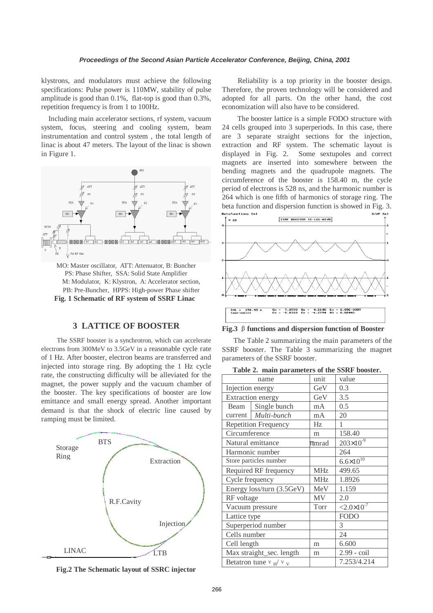klystrons, and modulators must achieve the following specifications: Pulse power is 110MW, stability of pulse amplitude is good than 0.1%, flat-top is good than 0.3%, repetition frequency is from 1 to 100Hz.

Including main accelerator sections, rf system, vacuum system, focus, steering and cooling system, beam instrumentation and control system , the total length of linac is about 47 meters. The layout of the linac is shown in Figure 1.



MO: Master oscillator, ATT: Attenuator, B: Buncher PS: Phase Shifter, SSA: Solid State Amplifier M: Modulator, K: Klystron, A: Accelerator section, PB: Pre-Buncher, HPPS: High-power Phase shifter **Fig. 1 Schematic of RF system of SSRF Linac**

## **3 LATTICE OF BOOSTER**

The SSRF booster is a synchrotron, which can accelerate electrons from 300MeV to 3.5GeV in a reasonable cycle rate of 1 Hz. After booster, electron beams are transferred and injected into storage ring. By adopting the 1 Hz cycle rate, the constructing difficulty will be alleviated for the magnet, the power supply and the vacuum chamber of the booster. The key specifications of booster are low emittance and small energy spread. Another important demand is that the shock of electric line caused by ramping must be limited.



**Fig.2 The Schematic layout of SSRC injector**

Reliability is a top priority in the booster design. Therefore, the proven technology will be considered and adopted for all parts. On the other hand, the cost economization will also have to be considered.

 The booster lattice is a simple FODO structure with 24 cells grouped into 3 superperiods. In this case, there are 3 separate straight sections for the injection, extraction and RF system. The schematic layout is displayed in Fig. 2. Some sextupoles and correct magnets are inserted into somewhere between the bending magnets and the quadrupole magnets. The circumference of the booster is 158.40 m, the cycle period of electrons is 528 ns, and the harmonic number is 264 which is one fifth of harmonics of storage ring. The beta function and dispersion function is showed in Fig. 3.



**Fig.3** β**functions and dispersion function of Booster**

 The Table 2 summarizing the main parameters of the SSRF booster. The Table 3 summarizing the magnet parameters of the SSRF booster.

| Table 2. main parameters of the SSRF booster. |  |  |  |  |
|-----------------------------------------------|--|--|--|--|
|-----------------------------------------------|--|--|--|--|

|                  | name                        | unit       | value                |  |
|------------------|-----------------------------|------------|----------------------|--|
| Injection energy |                             | GeV        | 0.3                  |  |
|                  | Extraction energy           | GeV        | 3.5                  |  |
| Beam             | Single bunch                | mA         | 0.5                  |  |
| current          | Multi-bunch                 | mA         | 20                   |  |
|                  | <b>Repetition Frequency</b> | Hz         | 1                    |  |
| Circumference    |                             | m          | 158.40               |  |
|                  | Natural emittance           | $\pi$ mrad | $203\times10^{-9}$   |  |
|                  | Harmonic number             |            | 264                  |  |
|                  | Store particles number      |            | $6.6 \times 10^{10}$ |  |
|                  | Required RF frequency       | <b>MHz</b> | 499.65               |  |
| Cycle frequency  |                             | <b>MHz</b> | 1.8926               |  |
|                  | Energy loss/turn (3.5GeV)   | MeV        | 1.159                |  |
| RF voltage       |                             | MV         | 2.0                  |  |
|                  | Vacuum pressure             | Torr       | $<2.0\times10^{-7}$  |  |
| Lattice type     |                             |            | <b>FODO</b>          |  |
|                  | Superperiod number          |            | 3                    |  |
| Cells number     |                             |            | 24                   |  |
| Cell length      |                             | m          | 6.600                |  |
|                  | Max straight_sec. length    | m          | 2.99 - coil          |  |
|                  | Betatron tune $v_H/v_V$     |            | 7.253/4.214          |  |